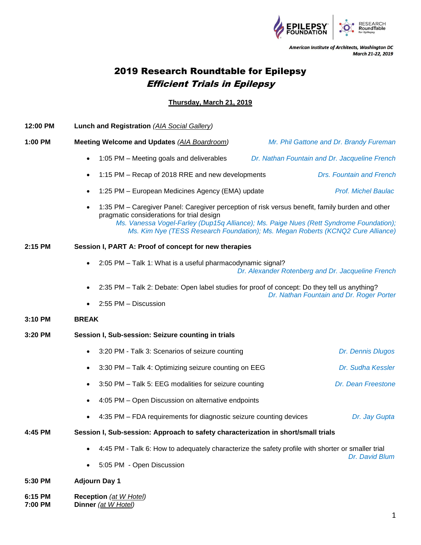

American Institute of Architects, Washington DC March 21-22, 2019

## 2019 Research Roundtable for Epilepsy Efficient Trials in Epilepsy

## **Thursday, March 21, 2019**

| 12:00 PM | Lunch and Registration (AIA Social Gallery)                                                                                                                                                                                                                                                                                            |  |  |  |
|----------|----------------------------------------------------------------------------------------------------------------------------------------------------------------------------------------------------------------------------------------------------------------------------------------------------------------------------------------|--|--|--|
| 1:00 PM  | Meeting Welcome and Updates (AIA Boardroom)<br>Mr. Phil Gattone and Dr. Brandy Fureman                                                                                                                                                                                                                                                 |  |  |  |
|          | Dr. Nathan Fountain and Dr. Jacqueline French<br>1:05 PM – Meeting goals and deliverables<br>$\bullet$                                                                                                                                                                                                                                 |  |  |  |
|          | 1:15 PM - Recap of 2018 RRE and new developments<br><b>Drs. Fountain and French</b><br>$\bullet$                                                                                                                                                                                                                                       |  |  |  |
|          | 1:25 PM - European Medicines Agency (EMA) update<br><b>Prof. Michel Baulac</b><br>$\bullet$                                                                                                                                                                                                                                            |  |  |  |
|          | 1:35 PM - Caregiver Panel: Caregiver perception of risk versus benefit, family burden and other<br>$\bullet$<br>pragmatic considerations for trial design<br>Ms. Vanessa Vogel-Farley (Dup15q Alliance); Ms. Paige Nues (Rett Syndrome Foundation);<br>Ms. Kim Nye (TESS Research Foundation); Ms. Megan Roberts (KCNQ2 Cure Alliance) |  |  |  |
| 2:15 PM  | Session I, PART A: Proof of concept for new therapies                                                                                                                                                                                                                                                                                  |  |  |  |
|          | 2:05 PM - Talk 1: What is a useful pharmacodynamic signal?<br>$\bullet$<br>Dr. Alexander Rotenberg and Dr. Jacqueline French                                                                                                                                                                                                           |  |  |  |
|          | 2:35 PM - Talk 2: Debate: Open label studies for proof of concept: Do they tell us anything?<br>Dr. Nathan Fountain and Dr. Roger Porter                                                                                                                                                                                               |  |  |  |
|          | 2:55 PM - Discussion                                                                                                                                                                                                                                                                                                                   |  |  |  |
| 3:10 PM  | <b>BREAK</b>                                                                                                                                                                                                                                                                                                                           |  |  |  |
| 3:20 PM  | Session I, Sub-session: Seizure counting in trials                                                                                                                                                                                                                                                                                     |  |  |  |
|          | 3:20 PM - Talk 3: Scenarios of seizure counting<br>Dr. Dennis Dlugos<br>$\bullet$                                                                                                                                                                                                                                                      |  |  |  |
|          | 3:30 PM - Talk 4: Optimizing seizure counting on EEG<br>Dr. Sudha Kessler<br>٠                                                                                                                                                                                                                                                         |  |  |  |
|          | 3:50 PM - Talk 5: EEG modalities for seizure counting<br>Dr. Dean Freestone                                                                                                                                                                                                                                                            |  |  |  |
|          | 4:05 PM - Open Discussion on alternative endpoints                                                                                                                                                                                                                                                                                     |  |  |  |
|          | 4:35 PM – FDA requirements for diagnostic seizure counting devices<br>Dr. Jay Gupta                                                                                                                                                                                                                                                    |  |  |  |
| 4:45 PM  | Session I, Sub-session: Approach to safety characterization in short/small trials                                                                                                                                                                                                                                                      |  |  |  |
|          | 4:45 PM - Talk 6: How to adequately characterize the safety profile with shorter or smaller trial<br>Dr. David Blum                                                                                                                                                                                                                    |  |  |  |
|          | 5:05 PM - Open Discussion                                                                                                                                                                                                                                                                                                              |  |  |  |
| 5:30 PM  | <b>Adjourn Day 1</b>                                                                                                                                                                                                                                                                                                                   |  |  |  |
| 6:15 PM  | Reception (at W Hotel)                                                                                                                                                                                                                                                                                                                 |  |  |  |

**7:00 PM Dinner** *(at W Hotel)*